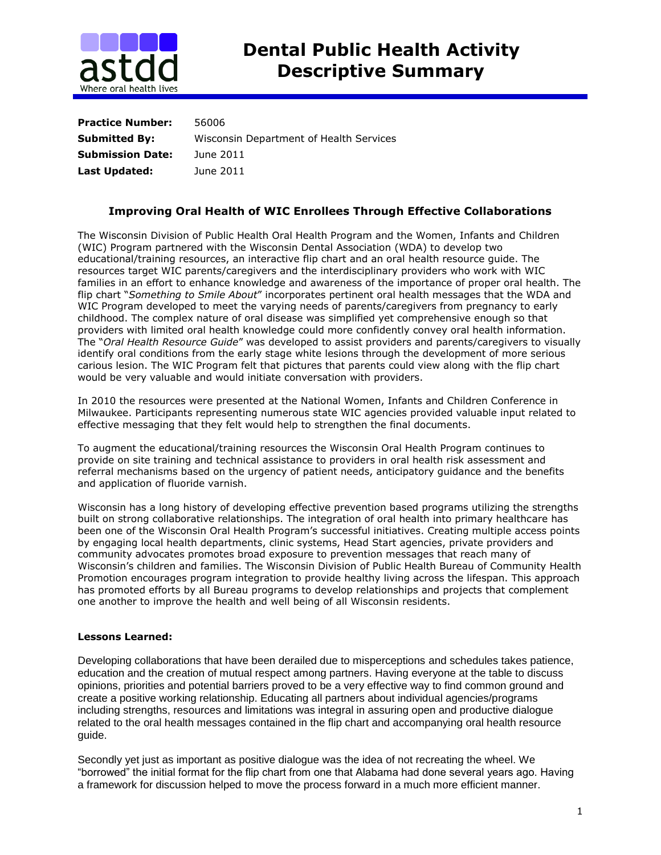

| <b>Practice Number:</b> | 56006                                   |
|-------------------------|-----------------------------------------|
| <b>Submitted By:</b>    | Wisconsin Department of Health Services |
| <b>Submission Date:</b> | June 2011                               |
| Last Updated:           | June 2011                               |

## **Improving Oral Health of WIC Enrollees Through Effective Collaborations**

The Wisconsin Division of Public Health Oral Health Program and the Women, Infants and Children (WIC) Program partnered with the Wisconsin Dental Association (WDA) to develop two educational/training resources, an interactive flip chart and an oral health resource guide. The resources target WIC parents/caregivers and the interdisciplinary providers who work with WIC families in an effort to enhance knowledge and awareness of the importance of proper oral health. The flip chart "*Something to Smile About*" incorporates pertinent oral health messages that the WDA and WIC Program developed to meet the varying needs of parents/caregivers from pregnancy to early childhood. The complex nature of oral disease was simplified yet comprehensive enough so that providers with limited oral health knowledge could more confidently convey oral health information. The "*Oral Health Resource Guide*" was developed to assist providers and parents/caregivers to visually identify oral conditions from the early stage white lesions through the development of more serious carious lesion. The WIC Program felt that pictures that parents could view along with the flip chart would be very valuable and would initiate conversation with providers.

In 2010 the resources were presented at the National Women, Infants and Children Conference in Milwaukee. Participants representing numerous state WIC agencies provided valuable input related to effective messaging that they felt would help to strengthen the final documents.

To augment the educational/training resources the Wisconsin Oral Health Program continues to provide on site training and technical assistance to providers in oral health risk assessment and referral mechanisms based on the urgency of patient needs, anticipatory guidance and the benefits and application of fluoride varnish.

Wisconsin has a long history of developing effective prevention based programs utilizing the strengths built on strong collaborative relationships. The integration of oral health into primary healthcare has been one of the Wisconsin Oral Health Program's successful initiatives. Creating multiple access points by engaging local health departments, clinic systems, Head Start agencies, private providers and community advocates promotes broad exposure to prevention messages that reach many of Wisconsin's children and families. The Wisconsin Division of Public Health Bureau of Community Health Promotion encourages program integration to provide healthy living across the lifespan. This approach has promoted efforts by all Bureau programs to develop relationships and projects that complement one another to improve the health and well being of all Wisconsin residents.

## **Lessons Learned:**

Developing collaborations that have been derailed due to misperceptions and schedules takes patience, education and the creation of mutual respect among partners. Having everyone at the table to discuss opinions, priorities and potential barriers proved to be a very effective way to find common ground and create a positive working relationship. Educating all partners about individual agencies/programs including strengths, resources and limitations was integral in assuring open and productive dialogue related to the oral health messages contained in the flip chart and accompanying oral health resource guide.

Secondly yet just as important as positive dialogue was the idea of not recreating the wheel. We "borrowed" the initial format for the flip chart from one that Alabama had done several years ago. Having a framework for discussion helped to move the process forward in a much more efficient manner.